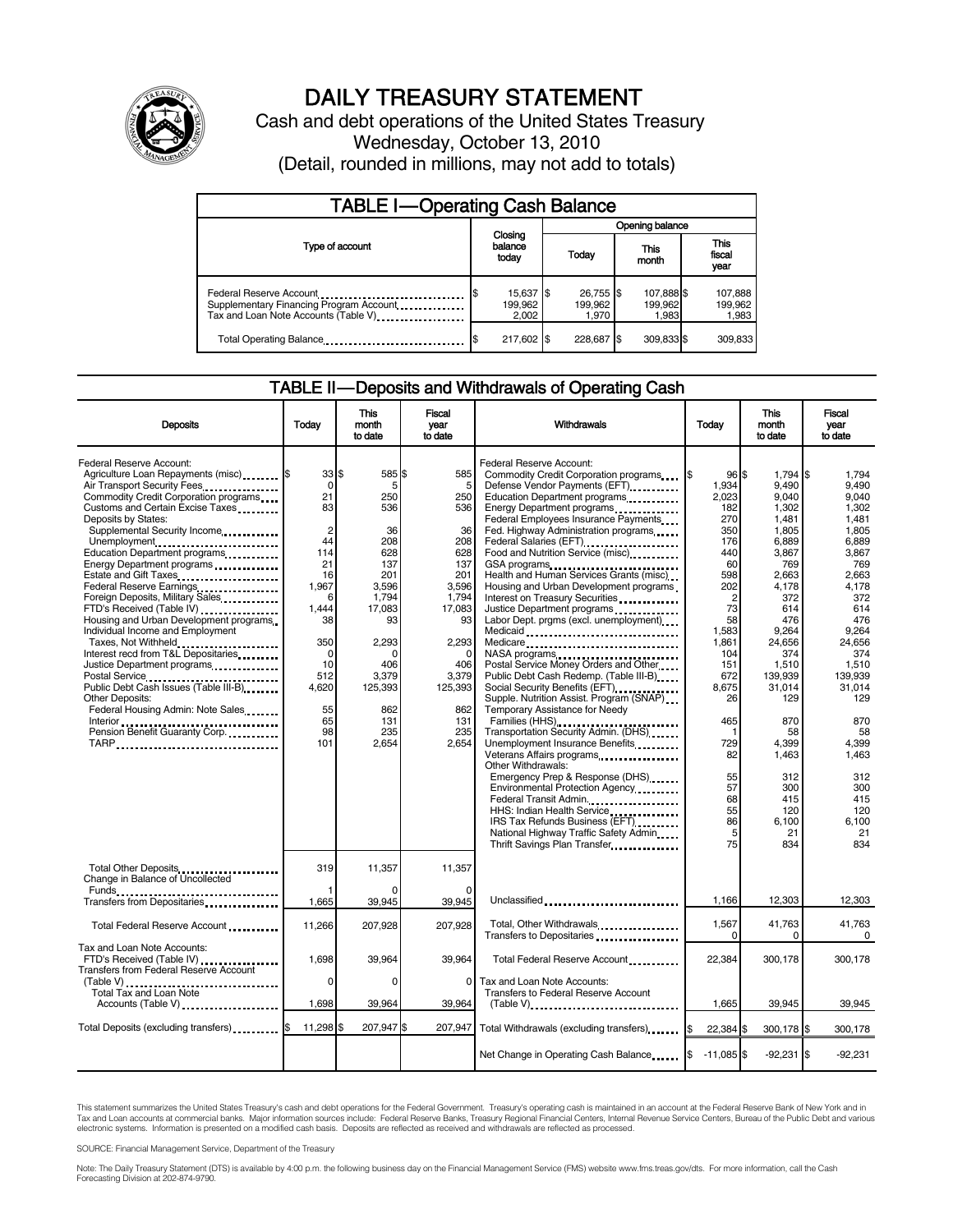

# DAILY TREASURY STATEMENT

Cash and debt operations of the United States Treasury Wednesday, October 13, 2010 (Detail, rounded in millions, may not add to totals)

| <b>TABLE I-Operating Cash Balance</b>                                                                       |                               |                               |                                |                               |  |  |  |
|-------------------------------------------------------------------------------------------------------------|-------------------------------|-------------------------------|--------------------------------|-------------------------------|--|--|--|
|                                                                                                             |                               | Opening balance               |                                |                               |  |  |  |
| Type of account                                                                                             | Closing<br>balance<br>today   | Today                         | This<br>month                  | <b>This</b><br>fiscal<br>year |  |  |  |
| Federal Reserve Account<br>Supplementary Financing Program Account<br>Tax and Loan Note Accounts (Table V). | 15,637 \$<br>199.962<br>2.002 | 26.755 \$<br>199.962<br>1.970 | 107,888 \$<br>199.962<br>1,983 | 107,888<br>199,962<br>1,983   |  |  |  |
| Total Operating Balance                                                                                     | 217,602 \$                    | 228,687                       | 309,833 \$                     | 309,833                       |  |  |  |

### TABLE II-Deposits and Withdrawals of Operating Cash

| <b>Deposits</b>                                                                                                                                                                                                                                                                                                                                                                                                                                             | Today                                                                                                  | <b>This</b><br>month<br>to date                                                            | <b>Fiscal</b><br>year<br>to date                                                                 | <b>Withdrawals</b>                                                                                                                                                                                                                                                                                                                                                                                                                                                                                                                                                  | Todav                                                                                         | <b>This</b><br>month<br>to date                                                                                       | <b>Fiscal</b><br>year<br>to date                                                                                   |
|-------------------------------------------------------------------------------------------------------------------------------------------------------------------------------------------------------------------------------------------------------------------------------------------------------------------------------------------------------------------------------------------------------------------------------------------------------------|--------------------------------------------------------------------------------------------------------|--------------------------------------------------------------------------------------------|--------------------------------------------------------------------------------------------------|---------------------------------------------------------------------------------------------------------------------------------------------------------------------------------------------------------------------------------------------------------------------------------------------------------------------------------------------------------------------------------------------------------------------------------------------------------------------------------------------------------------------------------------------------------------------|-----------------------------------------------------------------------------------------------|-----------------------------------------------------------------------------------------------------------------------|--------------------------------------------------------------------------------------------------------------------|
| Federal Reserve Account:<br>Agriculture Loan Repayments (misc) [5<br>Air Transport Security Fees<br>Commodity Credit Corporation programs<br>Customs and Certain Excise Taxes<br>Deposits by States:<br>Supplemental Security Income<br>Unemployment<br>Education Department programs<br>Energy Department programs<br>Federal Reserve Earnings<br>Foreign Deposits, Military Sales.<br>FTD's Received (Table IV)<br>Housing and Urban Development programs | 33S<br>$\mathbf 0$<br>21<br>83<br>$\overline{c}$<br>44<br>114<br>21<br>16<br>1,967<br>6<br>1.444<br>38 | 585<br>5<br>250<br>536<br>36<br>208<br>628<br>137<br>201<br>3,596<br>1.794<br>17,083<br>93 | 585<br>\$<br>5<br>250<br>536<br>36<br>208<br>628<br>137<br>201<br>3,596<br>1.794<br>17,083<br>93 | Federal Reserve Account:<br>Commodity Credit Corporation programs<br>Defense Vendor Payments (EFT)<br>Education Department programs<br>Energy Department programs<br><br>Federal Employees Insurance Payments<br>Fed. Highway Administration programs<br>Federal Salaries (EFT)<br>Federal Salaries (EFT)<br>Food and Nutrition Service (misc)<br>GSA programs<br>Health and Human Services Grants (misc)<br>Housing and Urban Development programs<br>Interest on Treasury Securities<br>Justice Department programs<br><br>Labor Dept. prgms (excl. unemployment) | 96S<br>1.934<br>2.023<br>182<br>270<br>350<br>176<br>440<br>60<br>598<br>202<br>2<br>73<br>58 | 1,794 \$<br>9.490<br>9.040<br>1.302<br>1.481<br>1,805<br>6,889<br>3.867<br>769<br>2,663<br>4,178<br>372<br>614<br>476 | 1.794<br>9.490<br>9.040<br>1.302<br>1.481<br>1.805<br>6.889<br>3.867<br>769<br>2,663<br>4,178<br>372<br>614<br>476 |
| Individual Income and Employment<br>Taxes, Not Withheld<br>Interest recd from T&L Depositaries<br>Justice Department programs<br>Postal Service<br><br>Public Debt Cash Issues (Table III-B)<br><b>Other Deposits:</b><br>Federal Housing Admin: Note Sales                                                                                                                                                                                                 | 350<br>$\Omega$<br>10<br>512<br>4,620<br>55<br>65                                                      | 2,293<br>n<br>406<br>3,379<br>125,393<br>862<br>131                                        | 2.293<br>$\Omega$<br>406<br>3,379<br>125,393<br>862<br>131                                       | Medicare<br>Postal Service Money Orders and Other<br>Public Debt Cash Redemp. (Table III-B)<br>Social Security Benefits (EFT)<br>Supple. Nutrition Assist. Program (SNAP)<br>Temporary Assistance for Needy                                                                                                                                                                                                                                                                                                                                                         | 1,583<br>1.861<br>104<br>151<br>672<br>8,675<br>26<br>465                                     | 9,264<br>24,656<br>374<br>1,510<br>139,939<br>31,014<br>129<br>870                                                    | 9,264<br>24.656<br>374<br>1.510<br>139,939<br>31,014<br>129<br>870                                                 |
| Interior<br>Pension Benefit Guaranty Corp.<br>TARP                                                                                                                                                                                                                                                                                                                                                                                                          | 98<br>101                                                                                              | 235<br>2,654                                                                               | 235<br>2,654                                                                                     | Families (HHS)<br>Transportation Security Admin. (DHS)<br>Unemployment Insurance Benefits<br>Veterans Affairs programs<br>Other Withdrawals:<br>Emergency Prep & Response (DHS)<br>Environmental Protection Agency<br>Federal Transit Admin.<br>HHS: Indian Health Service<br>IRS Tax Refunds Business (EFT)<br>National Highway Traffic Safety Admin<br>Thrift Savings Plan Transfer                                                                                                                                                                               | 729<br>82<br>55<br>57<br>68<br>55<br>86<br>5<br>75                                            | 58<br>4,399<br>1,463<br>312<br>300<br>415<br>120<br>6.100<br>21<br>834                                                | 58<br>4,399<br>1.463<br>312<br>300<br>415<br>120<br>6.100<br>21<br>834                                             |
| Total Other Deposits<br>Change in Balance of Uncollected<br>Funds                                                                                                                                                                                                                                                                                                                                                                                           | 319                                                                                                    | 11,357                                                                                     | 11,357                                                                                           |                                                                                                                                                                                                                                                                                                                                                                                                                                                                                                                                                                     |                                                                                               |                                                                                                                       |                                                                                                                    |
| Transfers from Depositaries<br>                                                                                                                                                                                                                                                                                                                                                                                                                             | 1,665                                                                                                  | 39,945                                                                                     | 39,945                                                                                           | Unclassified                                                                                                                                                                                                                                                                                                                                                                                                                                                                                                                                                        | 1,166                                                                                         | 12,303                                                                                                                | 12,303                                                                                                             |
| Total Federal Reserve Account                                                                                                                                                                                                                                                                                                                                                                                                                               | 11,266                                                                                                 | 207,928                                                                                    | 207.928                                                                                          | Total, Other Withdrawals<br>Transfers to Depositaries                                                                                                                                                                                                                                                                                                                                                                                                                                                                                                               | 1,567<br>$\Omega$                                                                             | 41,763                                                                                                                | 41,763<br>$\Omega$                                                                                                 |
| Tax and Loan Note Accounts:<br>FTD's Received (Table IV)<br>Transfers from Federal Reserve Account                                                                                                                                                                                                                                                                                                                                                          | 1,698<br>$\Omega$                                                                                      | 39,964<br>$\Omega$                                                                         | 39,964<br>$\Omega$                                                                               | Total Federal Reserve Account<br>Tax and Loan Note Accounts:                                                                                                                                                                                                                                                                                                                                                                                                                                                                                                        | 22,384                                                                                        | 300,178                                                                                                               | 300,178                                                                                                            |
| Total Tax and Loan Note<br>Accounts (Table V)                                                                                                                                                                                                                                                                                                                                                                                                               | 1,698                                                                                                  | 39,964                                                                                     | 39,964                                                                                           | <b>Transfers to Federal Reserve Account</b><br>$(Table V)$                                                                                                                                                                                                                                                                                                                                                                                                                                                                                                          | 1,665                                                                                         | 39,945                                                                                                                | 39,945                                                                                                             |
| Total Deposits (excluding transfers) <b>S</b>                                                                                                                                                                                                                                                                                                                                                                                                               | 11,298 \$                                                                                              | 207,947 \$                                                                                 | 207,947                                                                                          | Total Withdrawals (excluding transfers)                                                                                                                                                                                                                                                                                                                                                                                                                                                                                                                             | 22,384 \$                                                                                     | 300,178 \$                                                                                                            | 300,178                                                                                                            |
|                                                                                                                                                                                                                                                                                                                                                                                                                                                             |                                                                                                        |                                                                                            |                                                                                                  | Net Change in Operating Cash Balance                                                                                                                                                                                                                                                                                                                                                                                                                                                                                                                                | $-11,085$ \$                                                                                  | $-92,231$ \$                                                                                                          | $-92,231$                                                                                                          |

This statement summarizes the United States Treasury's cash and debt operations for the Federal Government. Treasury's operating cash is maintained in an account at the Federal Reserve Bank of New York and in<br>Tax and Loan

SOURCE: Financial Management Service, Department of the Treasury

Note: The Daily Treasury Statement (DTS) is available by 4:00 p.m. the following business day on the Financial Management Service (FMS) website www.fms.treas.gov/dts. For more information, call the Cash<br>Forecasting Divisio